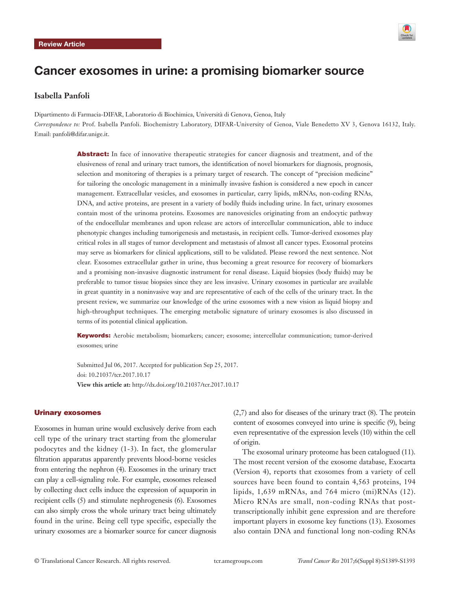

# Cancer exosomes in urine: a promising biomarker source

# **Isabella Panfoli**

Dipartimento di Farmacia-DIFAR, Laboratorio di Biochimica, Università di Genova, Genoa, Italy *Correspondence to:* Prof. Isabella Panfoli. Biochemistry Laboratory, DIFAR-University of Genoa, Viale Benedetto XV 3, Genova 16132, Italy. Email: panfoli@difar.unige.it.

> Abstract: In face of innovative therapeutic strategies for cancer diagnosis and treatment, and of the elusiveness of renal and urinary tract tumors, the identification of novel biomarkers for diagnosis, prognosis, selection and monitoring of therapies is a primary target of research. The concept of "precision medicine" for tailoring the oncologic management in a minimally invasive fashion is considered a new epoch in cancer management. Extracellular vesicles, and exosomes in particular, carry lipids, mRNAs, non-coding RNAs, DNA, and active proteins, are present in a variety of bodily fluids including urine. In fact, urinary exosomes contain most of the urinoma proteins. Exosomes are nanovesicles originating from an endocytic pathway of the endocellular membranes and upon release are actors of intercellular communication, able to induce phenotypic changes including tumorigenesis and metastasis, in recipient cells. Tumor-derived exosomes play critical roles in all stages of tumor development and metastasis of almost all cancer types. Exosomal proteins may serve as biomarkers for clinical applications, still to be validated. Please reword the next sentence. Not clear. Exosomes extracellular gather in urine, thus becoming a great resource for recovery of biomarkers and a promising non-invasive diagnostic instrument for renal disease. Liquid biopsies (body fluids) may be preferable to tumor tissue biopsies since they are less invasive. Urinary exosomes in particular are available in great quantity in a noninvasive way and are representative of each of the cells of the urinary tract. In the present review, we summarize our knowledge of the urine exosomes with a new vision as liquid biopsy and high-throughput techniques. The emerging metabolic signature of urinary exosomes is also discussed in terms of its potential clinical application.

> Keywords: Aerobic metabolism; biomarkers; cancer; exosome; intercellular communication; tumor-derived exosomes; urine

Submitted Jul 06, 2017. Accepted for publication Sep 25, 2017. doi: 10.21037/tcr.2017.10.17 **View this article at:** http://dx.doi.org/10.21037/tcr.2017.10.17

#### Urinary exosomes

Exosomes in human urine would exclusively derive from each cell type of the urinary tract starting from the glomerular podocytes and the kidney (1-3). In fact, the glomerular filtration apparatus apparently prevents blood-borne vesicles from entering the nephron (4). Exosomes in the urinary tract can play a cell-signaling role. For example, exosomes released by collecting duct cells induce the expression of aquaporin in recipient cells (5) and stimulate nephrogenesis (6). Exosomes can also simply cross the whole urinary tract being ultimately found in the urine. Being cell type specific, especially the urinary exosomes are a biomarker source for cancer diagnosis

(2,7) and also for diseases of the urinary tract (8). The protein content of exosomes conveyed into urine is specific (9), being even representative of the expression levels (10) within the cell of origin.

The exosomal urinary proteome has been catalogued (11). The most recent version of the exosome database, Exocarta (Version 4), reports that exosomes from a variety of cell sources have been found to contain 4,563 proteins, 194 lipids, 1,639 mRNAs, and 764 micro (mi)RNAs (12). Micro RNAs are small, non-coding RNAs that posttranscriptionally inhibit gene expression and are therefore important players in exosome key functions (13). Exosomes also contain DNA and functional long non-coding RNAs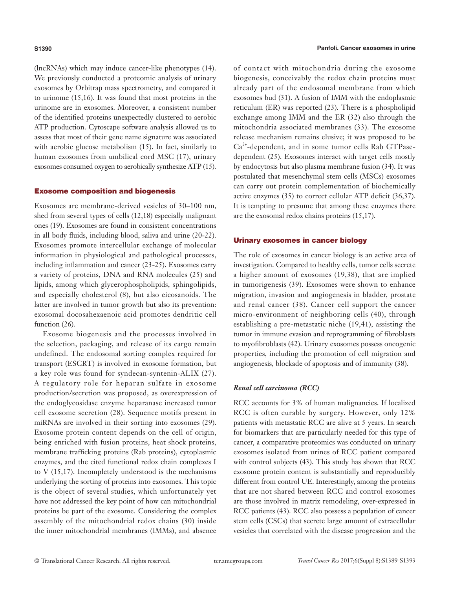(lncRNAs) which may induce cancer-like phenotypes (14). We previously conducted a proteomic analysis of urinary exosomes by Orbitrap mass spectrometry, and compared it to urinome (15,16). It was found that most proteins in the urinome are in exosomes. Moreover, a consistent number of the identified proteins unexpectedly clustered to aerobic ATP production. Cytoscape software analysis allowed us to assess that most of their gene name signature was associated with aerobic glucose metabolism (15). In fact, similarly to human exosomes from umbilical cord MSC (17), urinary exosomes consumed oxygen to aerobically synthesize ATP (15).

#### Exosome composition and biogenesis

Exosomes are membrane-derived vesicles of 30–100 nm, shed from several types of cells (12,18) especially malignant ones (19). Exosomes are found in consistent concentrations in all body fluids, including blood, saliva and urine (20-22). Exosomes promote intercellular exchange of molecular information in physiological and pathological processes, including inflammation and cancer (23-25). Exosomes carry a variety of proteins, DNA and RNA molecules (25) and lipids, among which glycerophospholipids, sphingolipids, and especially cholesterol (8), but also eicosanoids. The latter are involved in tumor growth but also its prevention: exosomal docosahexaenoic acid promotes dendritic cell function  $(26)$ .

Exosome biogenesis and the processes involved in the selection, packaging, and release of its cargo remain undefined. The endosomal sorting complex required for transport (ESCRT) is involved in exosome formation, but a key role was found for syndecan-syntenin-ALIX (27). A regulatory role for heparan sulfate in exosome production/secretion was proposed, as overexpression of the endoglycosidase enzyme heparanase increased tumor cell exosome secretion (28). Sequence motifs present in miRNAs are involved in their sorting into exosomes (29). Exosome protein content depends on the cell of origin, being enriched with fusion proteins, heat shock proteins, membrane trafficking proteins (Rab proteins), cytoplasmic enzymes, and the cited functional redox chain complexes I to V (15,17). Incompletely understood is the mechanisms underlying the sorting of proteins into exosomes. This topic is the object of several studies, which unfortunately yet have not addressed the key point of how can mitochondrial proteins be part of the exosome. Considering the complex assembly of the mitochondrial redox chains (30) inside the inner mitochondrial membranes (IMMs), and absence of contact with mitochondria during the exosome biogenesis, conceivably the redox chain proteins must already part of the endosomal membrane from which exosomes bud (31). A fusion of IMM with the endoplasmic reticulum (ER) was reported (23). There is a phospholipid exchange among IMM and the ER (32) also through the mitochondria associated membranes (33). The exosome release mechanism remains elusive; it was proposed to be  $Ca<sup>2+</sup>$ -dependent, and in some tumor cells Rab GTPasedependent (25). Exosomes interact with target cells mostly by endocytosis but also plasma membrane fusion (34). It was postulated that mesenchymal stem cells (MSCs) exosomes can carry out protein complementation of biochemically active enzymes (35) to correct cellular ATP deficit (36,37). It is tempting to presume that among these enzymes there are the exosomal redox chains proteins (15,17).

#### Urinary exosomes in cancer biology

The role of exosomes in cancer biology is an active area of investigation. Compared to healthy cells, tumor cells secrete a higher amount of exosomes (19,38), that are implied in tumorigenesis (39). Exosomes were shown to enhance migration, invasion and angiogenesis in bladder, prostate and renal cancer (38). Cancer cell support the cancer micro-environment of neighboring cells (40), through establishing a pre-metastatic niche (19,41), assisting the tumor in immune evasion and reprogramming of fibroblasts to myofibroblasts (42). Urinary exosomes possess oncogenic properties, including the promotion of cell migration and angiogenesis, blockade of apoptosis and of immunity (38).

## *Renal cell carcinoma (RCC)*

RCC accounts for 3% of human malignancies. If localized RCC is often curable by surgery. However, only 12% patients with metastatic RCC are alive at 5 years. In search for biomarkers that are particularly needed for this type of cancer, a comparative proteomics was conducted on urinary exosomes isolated from urines of RCC patient compared with control subjects (43). This study has shown that RCC exosome protein content is substantially and reproducibly different from control UE. Interestingly, among the proteins that are not shared between RCC and control exosomes are those involved in matrix remodeling, over-expressed in RCC patients (43). RCC also possess a population of cancer stem cells (CSCs) that secrete large amount of extracellular vesicles that correlated with the disease progression and the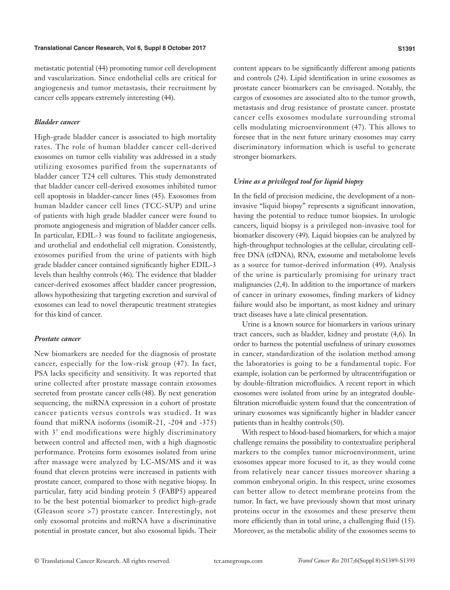#### **Translational Cancer Research, Vol 6, Suppl 8 October 2017 S1391**

metastatic potential (44) promoting tumor cell development and vascularization. Since endothelial cells are critical for angiogenesis and tumor metastasis, their recruitment by cancer cells appears extremely interesting (44).

# *Bladder cancer*

High-grade bladder cancer is associated to high mortality rates. The role of human bladder cancer cell-derived exosomes on tumor cells viability was addressed in a study utilizing exosomes purified from the supernatants of bladder cancer T24 cell cultures. This study demonstrated that bladder cancer cell-derived exosomes inhibited tumor cell apoptosis in bladder-cancer lines (45). Exosomes from human bladder cancer cell lines (TCC-SUP) and urine of patients with high grade bladder cancer were found to promote angiogenesis and migration of bladder cancer cells. In particular, EDIL-3 was found to facilitate angiogenesis, and urothelial and endothelial cell migration. Consistently, exosomes purified from the urine of patients with high grade bladder cancer contained significantly higher EDIL-3 levels than healthy controls (46). The evidence that bladder cancer-derived exosomes affect bladder cancer progression, allows hypothesizing that targeting excretion and survival of exosomes can lead to novel therapeutic treatment strategies for this kind of cancer.

# *Prostate cancer*

New biomarkers are needed for the diagnosis of prostate cancer, especially for the low-risk group (47). In fact, PSA lacks specificity and sensitivity. It was reported that urine collected after prostate massage contain exosomes secreted from prostate cancer cells (48). By next generation sequencing, the miRNA expression in a cohort of prostate cancer patients versus controls was studied. It was found that miRNA isoforms (isomiR-21, -204 and -375) with 3<sup>'</sup> end modifications were highly discriminatory between control and affected men, with a high diagnostic performance. Proteins form exosomes isolated from urine after massage were analyzed by LC-MS/MS and it was found that eleven proteins were increased in patients with prostate cancer, compared to those with negative biopsy. In particular, fatty acid binding protein 5 (FABP5) appeared to be the best potential biomarker to predict high-grade (Gleason score >7) prostate cancer. Interestingly, not only exosomal proteins and miRNA have a discriminative potential in prostate cancer, but also exosomal lipids. Their content appears to be significantly different among patients and controls (24). Lipid identification in urine exosomes as prostate cancer biomarkers can be envisaged. Notably, the cargos of exosomes are associated alto to the tumor growth, metastasis and drug resistance of prostate cancer. prostate cancer cells exosomes modulate surrounding stromal cells modulating microenvironment (47). This allows to foresee that in the next future urinary exosomes may carry discriminatory information which is useful to generate stronger biomarkers.

## *Urine as a privileged tool for liquid biopsy*

In the field of precision medicine, the development of a noninvasive "liquid biopsy" represents a significant innovation, having the potential to reduce tumor biopsies. In urologic cancers, liquid biopsy is a privileged non-invasive tool for biomarker discovery (49). Liquid biopsies can be analyzed by high-throughput technologies at the cellular, circulating cellfree DNA (cfDNA), RNA, exosome and metabolome levels as a source for tumor-derived information (49). Analysis of the urine is particularly promising for urinary tract malignancies (2,4). In addition to the importance of markers of cancer in urinary exosomes, finding markers of kidney failure would also be important, as most kidney and urinary tract diseases have a late clinical presentation.

Urine is a known source for biomarkers in various urinary tract cancers, such as bladder, kidney and prostate (4,6). In order to harness the potential usefulness of urinary exosomes in cancer, standardization of the isolation method among the laboratories is going to be a fundamental topic. For example, isolation can be performed by ultracentrifugation or by double-filtration microfluidics. A recent report in which exosomes were isolated from urine by an integrated doublefiltration microfluidic system found that the concentration of urinary exosomes was significantly higher in bladder cancer patients than in healthy controls (50).

With respect to blood-based biomarkers, for which a major challenge remains the possibility to contextualize peripheral markers to the complex tumor microenvironment, urine exosomes appear more focused to it, as they would come from relatively near cancer tissues moreover sharing a common embryonal origin. In this respect, urine exosomes can better allow to detect membrane proteins from the tumor. In fact, we have previously shown that most urinary proteins occur in the exosomes and these preserve them more efficiently than in total urine, a challenging fluid (15). Moreover, as the metabolic ability of the exosomes seems to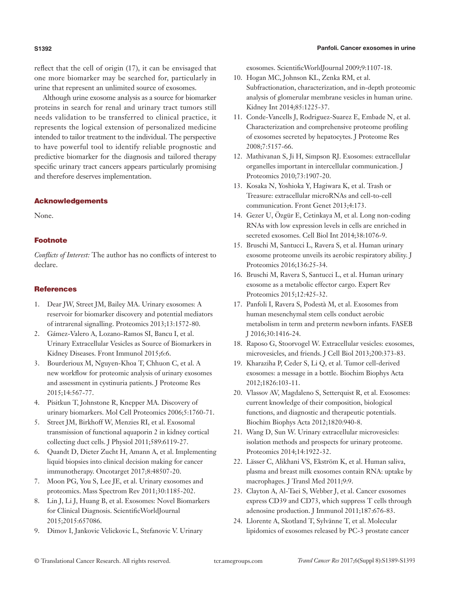reflect that the cell of origin (17), it can be envisaged that one more biomarker may be searched for, particularly in urine that represent an unlimited source of exosomes.

Although urine exosome analysis as a source for biomarker proteins in search for renal and urinary tract tumors still needs validation to be transferred to clinical practice, it represents the logical extension of personalized medicine intended to tailor treatment to the individual. The perspective to have powerful tool to identify reliable prognostic and predictive biomarker for the diagnosis and tailored therapy specific urinary tract cancers appears particularly promising and therefore deserves implementation.

# Acknowledgements

None.

# Footnote

*Conflicts of Interest:* The author has no conflicts of interest to declare.

# **References**

- 1. Dear JW, Street JM, Bailey MA. Urinary exosomes: A reservoir for biomarker discovery and potential mediators of intrarenal signalling. Proteomics 2013;13:1572-80.
- 2. Gámez-Valero A, Lozano-Ramos SI, Bancu I, et al. Urinary Extracellular Vesicles as Source of Biomarkers in Kidney Diseases. Front Immunol 2015;6:6.
- 3. Bourderioux M, Nguyen-Khoa T, Chhuon C, et al. A new workflow for proteomic analysis of urinary exosomes and assessment in cystinuria patients. J Proteome Res 2015;14:567-77.
- 4. Pisitkun T, Johnstone R, Knepper MA. Discovery of urinary biomarkers. Mol Cell Proteomics 2006;5:1760-71.
- 5. Street JM, Birkhoff W, Menzies RI, et al. Exosomal transmission of functional aquaporin 2 in kidney cortical collecting duct cells. J Physiol 2011;589:6119-27.
- 6. Quandt D, Dieter Zucht H, Amann A, et al. Implementing liquid biopsies into clinical decision making for cancer immunotherapy. Oncotarget 2017;8:48507-20.
- 7. Moon PG, You S, Lee JE, et al. Urinary exosomes and proteomics. Mass Spectrom Rev 2011;30:1185-202.
- 8. Lin J, Li J, Huang B, et al. Exosomes: Novel Biomarkers for Clinical Diagnosis. ScientificWorldJournal 2015;2015:657086.
- 9. Dimov I, Jankovic Velickovic L, Stefanovic V. Urinary

exosomes. ScientificWorldJournal 2009;9:1107-18.

- 10. Hogan MC, Johnson KL, Zenka RM, et al. Subfractionation, characterization, and in-depth proteomic analysis of glomerular membrane vesicles in human urine. Kidney Int 2014;85:1225-37.
- 11. Conde-Vancells J, Rodriguez-Suarez E, Embade N, et al. Characterization and comprehensive proteome profiling of exosomes secreted by hepatocytes. J Proteome Res 2008;7:5157-66.
- 12. Mathivanan S, Ji H, Simpson RJ. Exosomes: extracellular organelles important in intercellular communication. J Proteomics 2010;73:1907-20.
- 13. Kosaka N, Yoshioka Y, Hagiwara K, et al. Trash or Treasure: extracellular microRNAs and cell-to-cell communication. Front Genet 2013;4:173.
- 14. Gezer U, Özgür E, Cetinkaya M, et al. Long non-coding RNAs with low expression levels in cells are enriched in secreted exosomes. Cell Biol Int 2014;38:1076-9.
- 15. Bruschi M, Santucci L, Ravera S, et al. Human urinary exosome proteome unveils its aerobic respiratory ability. J Proteomics 2016;136:25-34.
- 16. Bruschi M, Ravera S, Santucci L, et al. Human urinary exosome as a metabolic effector cargo. Expert Rev Proteomics 2015;12:425-32.
- 17. Panfoli I, Ravera S, Podestà M, et al. Exosomes from human mesenchymal stem cells conduct aerobic metabolism in term and preterm newborn infants. FASEB J 2016;30:1416-24.
- 18. Raposo G, Stoorvogel W. Extracellular vesicles: exosomes, microvesicles, and friends. J Cell Biol 2013;200:373-83.
- 19. Kharaziha P, Ceder S, Li Q, et al. Tumor cell-derived exosomes: a message in a bottle. Biochim Biophys Acta 2012;1826:103-11.
- 20. Vlassov AV, Magdaleno S, Setterquist R, et al. Exosomes: current knowledge of their composition, biological functions, and diagnostic and therapeutic potentials. Biochim Biophys Acta 2012;1820:940-8.
- 21. Wang D, Sun W. Urinary extracellular microvesicles: isolation methods and prospects for urinary proteome. Proteomics 2014;14:1922-32.
- 22. Lässer C, Alikhani VS, Ekström K, et al. Human saliva, plasma and breast milk exosomes contain RNA: uptake by macrophages. J Transl Med 2011;9:9.
- 23. Clayton A, Al-Taei S, Webber J, et al. Cancer exosomes express CD39 and CD73, which suppress T cells through adenosine production. J Immunol 2011;187:676-83.
- 24. Llorente A, Skotland T, Sylvänne T, et al. Molecular lipidomics of exosomes released by PC-3 prostate cancer